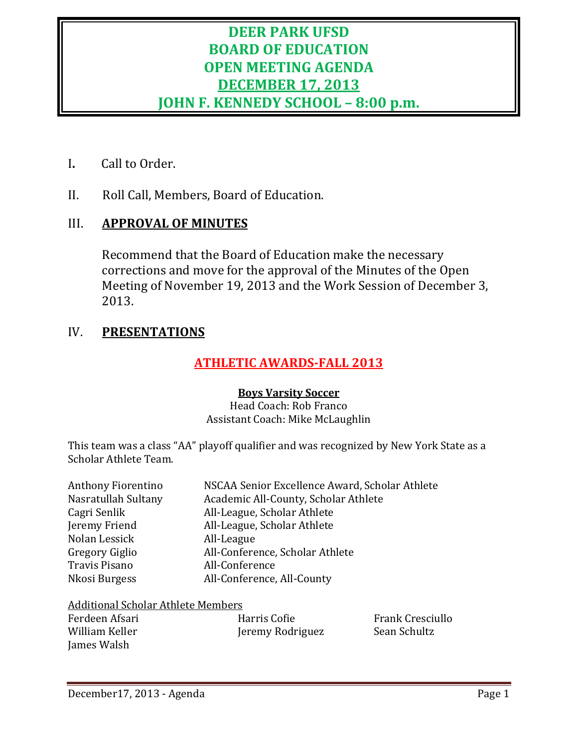# **DEER PARK UFSD BOARD OF EDUCATION OPEN MEETING AGENDA DECEMBER 17, 2013 JOHN F. KENNEDY SCHOOL – 8:00 p.m.**

- I**.** Call to Order.
- II. Roll Call, Members, Board of Education.

# III. **APPROVAL OF MINUTES**

Recommend that the Board of Education make the necessary corrections and move for the approval of the Minutes of the Open Meeting of November 19, 2013 and the Work Session of December 3, 2013.

# IV. **PRESENTATIONS**

# **ATHLETIC AWARDS-FALL 2013**

#### **Boys Varsity Soccer**

Head Coach: Rob Franco Assistant Coach: Mike McLaughlin

This team was a class "AA" playoff qualifier and was recognized by New York State as a Scholar Athlete Team.

| <b>Anthony Fiorentino</b> | NSCAA Senior Excellence Award, Scholar Athlete |
|---------------------------|------------------------------------------------|
| Nasratullah Sultany       | Academic All-County, Scholar Athlete           |
| Cagri Senlik              | All-League, Scholar Athlete                    |
| Jeremy Friend             | All-League, Scholar Athlete                    |
| Nolan Lessick             | All-League                                     |
| Gregory Giglio            | All-Conference, Scholar Athlete                |
| <b>Travis Pisano</b>      | All-Conference                                 |
| Nkosi Burgess             | All-Conference, All-County                     |

#### Additional Scholar Athlete Members

| Ferdeen Afsari | Harris Cofie     | <b>Frank Cresciullo</b> |
|----------------|------------------|-------------------------|
| William Keller | Jeremy Rodriguez | Sean Schultz            |
| James Walsh    |                  |                         |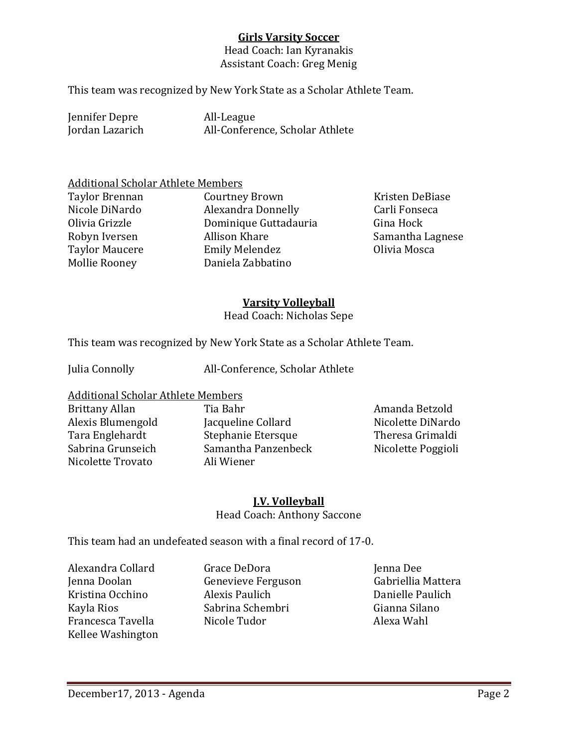#### **Girls Varsity Soccer**

Head Coach: Ian Kyranakis Assistant Coach: Greg Menig

This team was recognized by New York State as a Scholar Athlete Team.

Jennifer Depre All-League<br>Jordan Lazarich All-Confere

All-Conference, Scholar Athlete

# Additional Scholar Athlete Members<br>Taylor Brennan Courtney

Mollie Rooney

Taylor Brennan Courtney Brown Kristen DeBiase Nicole DiNardo Alexandra Donnelly Carli Fonseca Olivia Grizzle **China Hominique Guttadauria**<br>
Robyn Iversen Mallison Khare Allison Khare Samantha Lagnese<br>Emily Melendez Chivia Mosca Taylor Maucere Emily Melendez<br>1991 - Mollie Rooney<br>1992 - Daniela Zabbatino

#### **Varsity Volleyball**

Head Coach: Nicholas Sepe

This team was recognized by New York State as a Scholar Athlete Team.

Julia Connolly All-Conference, Scholar Athlete

Additional Scholar Athlete Members

Nicolette Trovato

Brittany Allan Tia Bahr Amanda Betzold Alexis Blumengold Jacqueline Collard Nicolette DiNardo Tara Englehardt Stephanie Etersque Theresa Grimaldi Samantha Panzenbeck<br>Ali Wiener

#### **J.V. Volleyball**

Head Coach: Anthony Saccone

This team had an undefeated season with a final record of 17-0.

- Alexandra Collard Grace DeDora Jenna Dee Francesca Tavella Kellee Washington
- Genevieve Ferguson Gabriellia Matter<br>Alexis Paulich Gabrielle Paulich Kristina Occhino Alexis Paulich Danielle Paulich Kayla Rios Sabrina Schembri Gianna Silano
-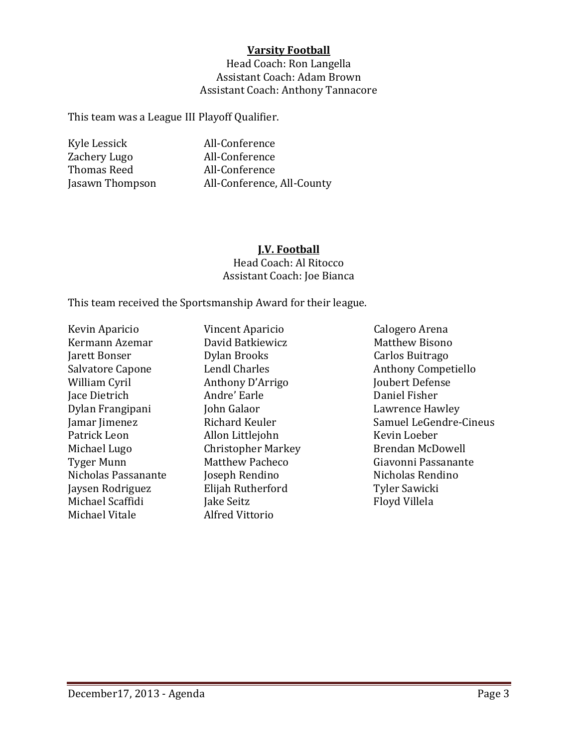#### **Varsity Football**

Head Coach: Ron Langella Assistant Coach: Adam Brown Assistant Coach: Anthony Tannacore

This team was a League III Playoff Qualifier.

Kyle Lessick All-Conference Zachery Lugo All-Conference<br>Thomas Reed All-Conference Thomas Reed<br>Jasawn Thompson

# All-Conference, All-County

# **J.V. Football**

Head Coach: Al Ritocco Assistant Coach: Joe Bianca

This team received the Sportsmanship Award for their league.

Kevin Aparicio Vincent Aparicio Calogero Arena Kermann Azemar David Batkiewicz Matthew Bisono Jarett Bonser Dylan Brooks Carlos Buitrago Jace Dietrich Andre' Earle Daniel Fisher Dylan Frangipani John Galaor Lawrence Hawley Patrick Leon Allon Littlejohn Kevin Loeber Michael Lugo Christopher Markey<br>Tyger Munn Matthew Pacheco Nicholas Passanante Joseph Rendino Nicholas Rendino Michael Scaffidi Jake Seitz<br>Michael Vitale Jack Alfred Vittorio Michael Vitale

Anthony D'Arrigo Joubert Defen<br>Andre' Earle Daniel Fisher Jaysen Rodriguez Elijah Rutherford Tyler Sawicki

Salvatore Capone Lendl Charles Anthony Competiello Jamar Jimenez Richard Keuler Samuel LeGendre-Cineus Tyger Munn Matthew Pacheco Giavonni Passanante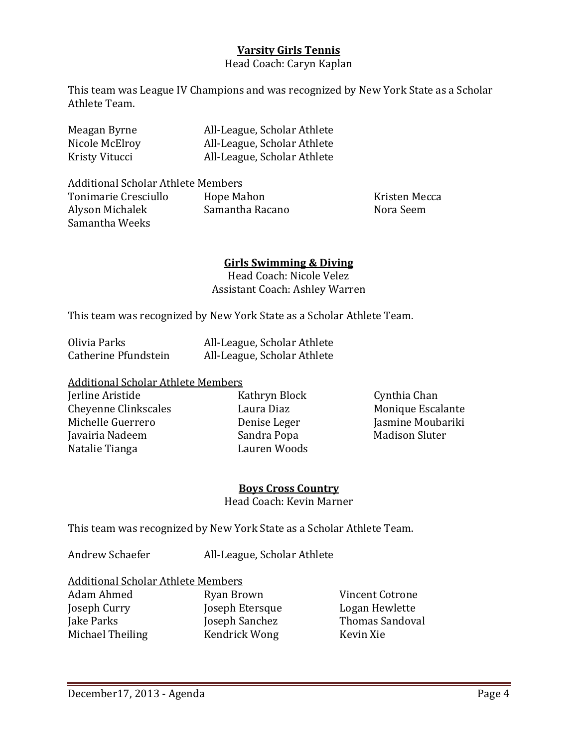#### **Varsity Girls Tennis**

Head Coach: Caryn Kaplan

This team was League IV Champions and was recognized by New York State as a Scholar Athlete Team.

| Meagan Byrne   | All-League, Scholar Athlete |
|----------------|-----------------------------|
| Nicole McElroy | All-League, Scholar Athlete |
| Kristy Vitucci | All-League, Scholar Athlete |

Additional Scholar Athlete Members<br>Tonimarie Cresciullo Hope Mahon

Tonimarie Cresciullo de Hope Mahon de Cresciullo de Hope Mahon de Reseau de Kristen Mecca de Alvason Michalek <br>Alvson Michalek de Samantha Racano de Nora Seem Alyson Michalek Samantha Weeks

#### **Girls Swimming & Diving**

Head Coach: Nicole Velez Assistant Coach: Ashley Warren

This team was recognized by New York State as a Scholar Athlete Team.

| Olivia Parks         | All-League, Scholar Athlete |
|----------------------|-----------------------------|
| Catherine Pfundstein | All-League, Scholar Athlete |

# Additional Scholar Athlete Members<br>Ierline Aristide K

Cheyenne Clinkscales<br>
Michelle Guerrero<br>
Denise Leger Javairia Nadeem Sandra Popa<br>Natalie Tianga Natalie Books Natalie Tianga

Kathryn Block Cynthia Chan<br>Laura Diaz Monique Escalante Denise Leger Jasmine Moubariki<br>Sandra Popa Madison Sluter

#### **Boys Cross Country** Head Coach: Kevin Marner

This team was recognized by New York State as a Scholar Athlete Team.

Andrew Schaefer All-League, Scholar Athlete

# Additional Scholar Athlete Members<br>Adam Ahmed Byan Brown

Michael Theiling

Adam Ahmed Ryan Brown Vincent Cotrone Joseph Curry Joseph Etersque Logan Hewlette Joseph Sanchez Thomas Sandrick Wong<br>
Heraldick Wong Kevin Xie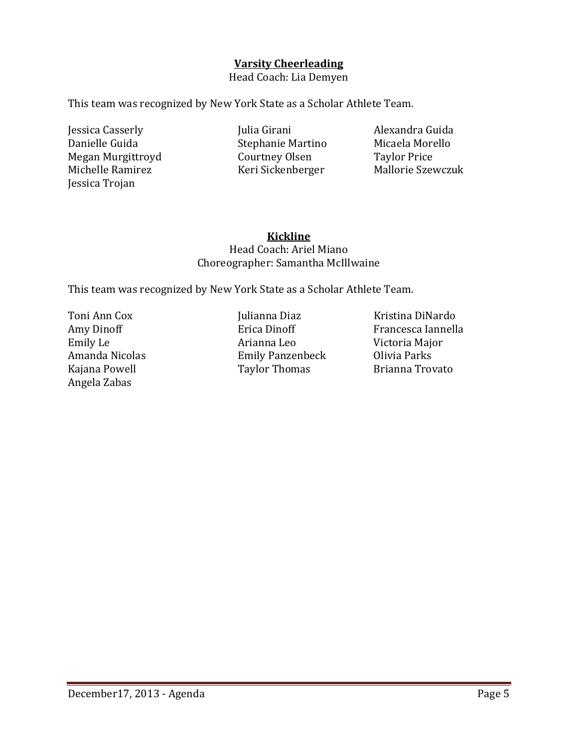#### **Varsity Cheerleading**

Head Coach: Lia Demyen

This team was recognized by New York State as a Scholar Athlete Team.

Jessica Casserly Julia Girani Alexandra Guida<br>Danielle Guida Stephanie Martino Micaela Morello Megan Murgittroyd Courtney Olsen Taylor Price Jessica Trojan

Stephanie Martino Micaela More<br>Courtney Olsen Taylor Price Keri Sickenberger

#### **Kickline** Head Coach: Ariel Miano Choreographer: Samantha McIllwaine

This team was recognized by New York State as a Scholar Athlete Team.

Angela Zabas

Toni Ann Cox Julianna Diaz Kristina DiNardo Amy Dinoff Erica Dinoff Francesca Iannella Emily Le Arianna Leo Victoria Major Amanda Nicolas Emily Panzenbeck Olivia Parks Taylor Thomas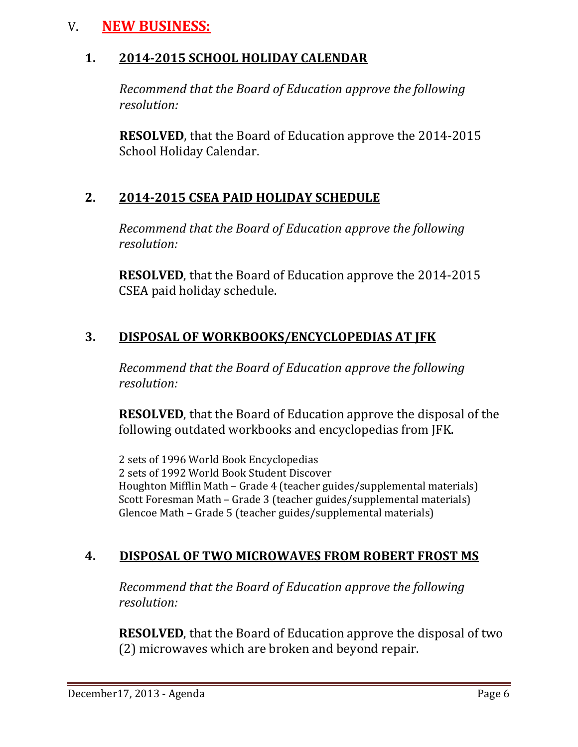# V. **NEW BUSINESS:**

# **1. 2014-2015 SCHOOL HOLIDAY CALENDAR**

 *Recommend that the Board of Education approve the following resolution:*

 **RESOLVED**, that the Board of Education approve the 2014-2015 School Holiday Calendar.

# **2. 2014-2015 CSEA PAID HOLIDAY SCHEDULE**

*Recommend that the Board of Education approve the following resolution:*

**RESOLVED**, that the Board of Education approve the 2014-2015 CSEA paid holiday schedule.

# **3. DISPOSAL OF WORKBOOKS/ENCYCLOPEDIAS AT JFK**

*Recommend that the Board of Education approve the following resolution:*

**RESOLVED**, that the Board of Education approve the disposal of the following outdated workbooks and encyclopedias from JFK.

2 sets of 1996 World Book Encyclopedias 2 sets of 1992 World Book Student Discover Houghton Mifflin Math – Grade 4 (teacher guides/supplemental materials) Scott Foresman Math – Grade 3 (teacher guides/supplemental materials) Glencoe Math – Grade 5 (teacher guides/supplemental materials)

# **4. DISPOSAL OF TWO MICROWAVES FROM ROBERT FROST MS**

*Recommend that the Board of Education approve the following resolution:*

**RESOLVED**, that the Board of Education approve the disposal of two (2) microwaves which are broken and beyond repair.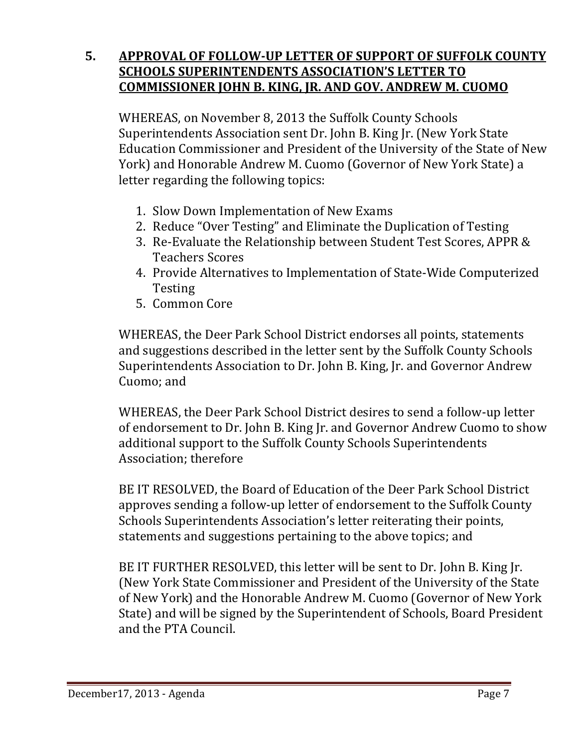# **5. APPROVAL OF FOLLOW-UP LETTER OF SUPPORT OF SUFFOLK COUNTY SCHOOLS SUPERINTENDENTS ASSOCIATION'S LETTER TO COMMISSIONER JOHN B. KING, JR. AND GOV. ANDREW M. CUOMO**

WHEREAS, on November 8, 2013 the Suffolk County Schools Superintendents Association sent Dr. John B. King Jr. (New York State Education Commissioner and President of the University of the State of New York) and Honorable Andrew M. Cuomo (Governor of New York State) a letter regarding the following topics:

- 1. Slow Down Implementation of New Exams
- 2. Reduce "Over Testing" and Eliminate the Duplication of Testing
- 3. Re-Evaluate the Relationship between Student Test Scores, APPR & Teachers Scores
- 4. Provide Alternatives to Implementation of State-Wide Computerized Testing
- 5. Common Core

WHEREAS, the Deer Park School District endorses all points, statements and suggestions described in the letter sent by the Suffolk County Schools Superintendents Association to Dr. John B. King, Jr. and Governor Andrew Cuomo; and

WHEREAS, the Deer Park School District desires to send a follow-up letter of endorsement to Dr. John B. King Jr. and Governor Andrew Cuomo to show additional support to the Suffolk County Schools Superintendents Association; therefore

BE IT RESOLVED, the Board of Education of the Deer Park School District approves sending a follow-up letter of endorsement to the Suffolk County Schools Superintendents Association's letter reiterating their points, statements and suggestions pertaining to the above topics; and

BE IT FURTHER RESOLVED, this letter will be sent to Dr. John B. King Jr. (New York State Commissioner and President of the University of the State of New York) and the Honorable Andrew M. Cuomo (Governor of New York State) and will be signed by the Superintendent of Schools, Board President and the PTA Council.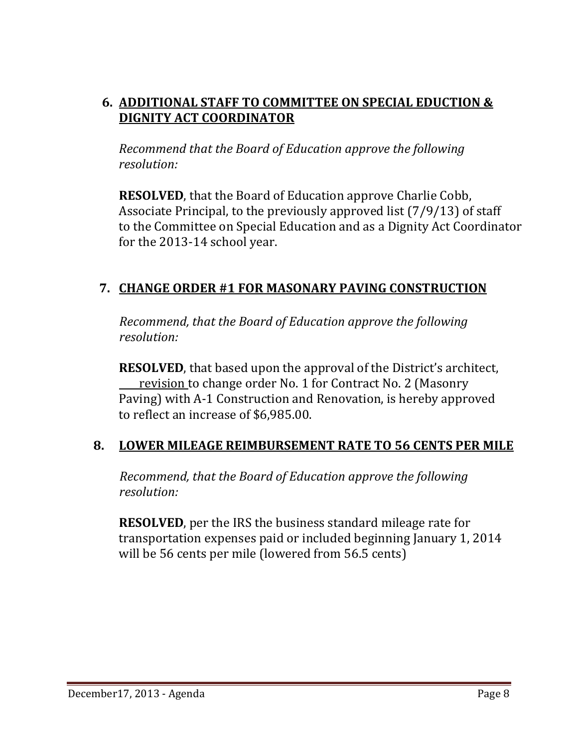# **6. ADDITIONAL STAFF TO COMMITTEE ON SPECIAL EDUCTION & DIGNITY ACT COORDINATOR**

*Recommend that the Board of Education approve the following resolution:*

**RESOLVED**, that the Board of Education approve Charlie Cobb, Associate Principal, to the previously approved list (7/9/13) of staff to the Committee on Special Education and as a Dignity Act Coordinator for the 2013-14 school year.

# **7. CHANGE ORDER #1 FOR MASONARY PAVING CONSTRUCTION**

 *Recommend, that the Board of Education approve the following resolution:*

**RESOLVED**, that based upon the approval of the District's architect, revision to change order No. 1 for Contract No. 2 (Masonry Paving) with A-1 Construction and Renovation, is hereby approved to reflect an increase of \$6,985.00.

# **8. LOWER MILEAGE REIMBURSEMENT RATE TO 56 CENTS PER MILE**

 *Recommend, that the Board of Education approve the following resolution:*

 **RESOLVED**, per the IRS the business standard mileage rate for transportation expenses paid or included beginning January 1, 2014 will be 56 cents per mile (lowered from 56.5 cents)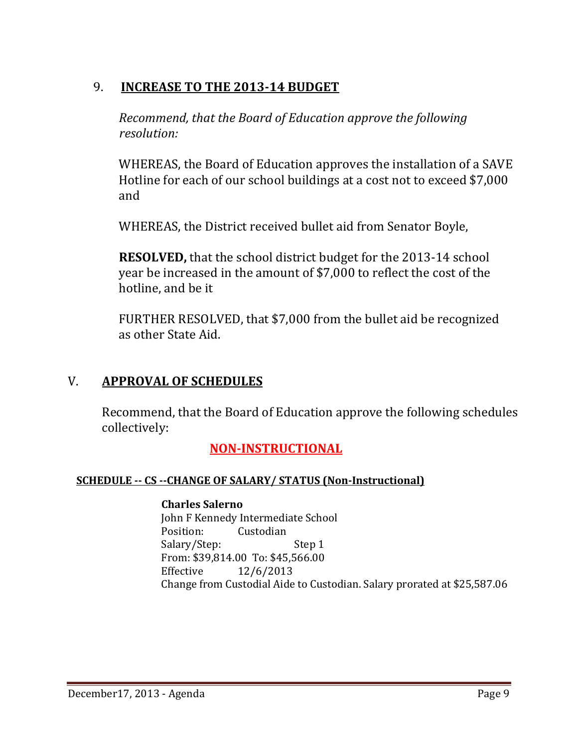# 9. **INCREASE TO THE 2013-14 BUDGET**

*Recommend, that the Board of Education approve the following resolution:*

WHEREAS, the Board of Education approves the installation of a SAVE Hotline for each of our school buildings at a cost not to exceed \$7,000 and

WHEREAS, the District received bullet aid from Senator Boyle,

**RESOLVED,** that the school district budget for the 2013-14 school year be increased in the amount of \$7,000 to reflect the cost of the hotline, and be it

FURTHER RESOLVED, that \$7,000 from the bullet aid be recognized as other State Aid.

# V. **APPROVAL OF SCHEDULES**

Recommend, that the Board of Education approve the following schedules collectively:

# **NON-INSTRUCTIONAL**

#### **SCHEDULE -- CS --CHANGE OF SALARY/ STATUS (Non-Instructional)**

#### **Charles Salerno**

John F Kennedy Intermediate School<br>Position: Custodian Custodian Salary/Step: Step 1 From: \$39,814.00 To: \$45,566.00<br>Effective 12/6/2013 Effective 12/6/2013 Change from Custodial Aide to Custodian. Salary prorated at \$25,587.06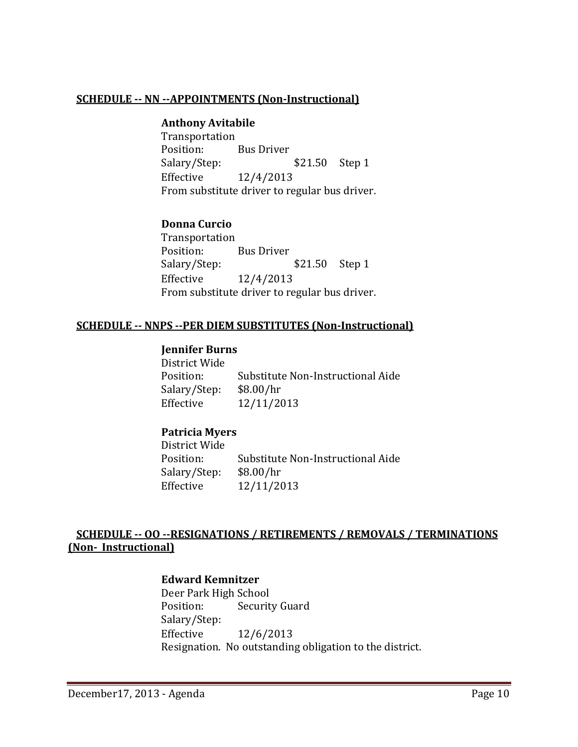#### **SCHEDULE -- NN --APPOINTMENTS (Non-Instructional)**

#### **Anthony Avitabile**

Transportation Position: Bus Driver<br>Salary/Step: \$21.50 Step 1 Effective 12/4/2013 From substitute driver to regular bus driver.

#### **Donna Curcio**

Transportation<br>Position: Position: Bus Driver<br>Salary/Step: \$21.50 Step 1 Effective 12/4/2013 From substitute driver to regular bus driver.

#### **SCHEDULE -- NNPS --PER DIEM SUBSTITUTES (Non-Instructional)**

#### **Jennifer Burns**

District Wide Substitute Non-Instructional Aide<br>\$8.00/hr Salary/Step: Effective 12/11/2013

#### **Patricia Myers**

District Wide Substitute Non-Instructional Aide<br>\$8.00/hr Salary/Step:<br>Effective Effective 12/11/2013

#### **SCHEDULE -- OO --RESIGNATIONS / RETIREMENTS / REMOVALS / TERMINATIONS (Non- Instructional)**

#### **Edward Kemnitzer**

Deer Park High School<br>Position: Securit **Security Guard** Salary/Step:<br>Effective Effective 12/6/2013 Resignation. No outstanding obligation to the district.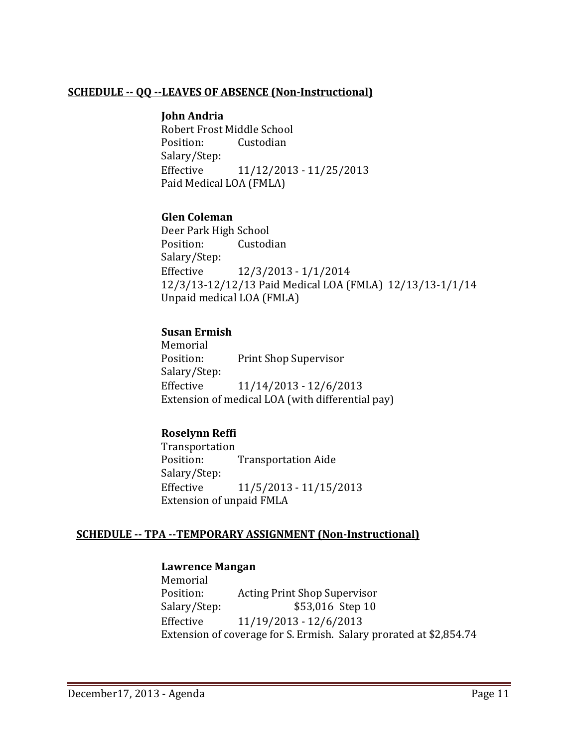#### **SCHEDULE -- QQ --LEAVES OF ABSENCE (Non-Instructional)**

#### **John Andria**

Robert Frost Middle School<br>Position: Custodian Custodian Salary/Step: Effective 11/12/2013 - 11/25/2013 Paid Medical LOA (FMLA)

#### **Glen Coleman**

Deer Park High School<br>Position: Custod Custodian Salary/Step: Effective 12/3/2013 - 1/1/2014 12/3/13-12/12/13 Paid Medical LOA (FMLA) 12/13/13-1/1/14 Unpaid medical LOA (FMLA)

#### **Susan Ermish**

Memorial<br>Position: Print Shop Supervisor Salary/Step: Effective 11/14/2013 - 12/6/2013 Extension of medical LOA (with differential pay)

#### **Roselynn Reffi**

Transportation<br>Position: **Transportation Aide** Salary/Step: Effective 11/5/2013 - 11/15/2013 Extension of unpaid FMLA

#### **SCHEDULE -- TPA --TEMPORARY ASSIGNMENT (Non-Instructional)**

#### **Lawrence Mangan**

Memorial<br>Position: Position: Acting Print Shop Supervisor<br>Salary/Step: \$53,016 Step 10 \$53,016 Step 10 Effective 11/19/2013 - 12/6/2013 Extension of coverage for S. Ermish. Salary prorated at \$2,854.74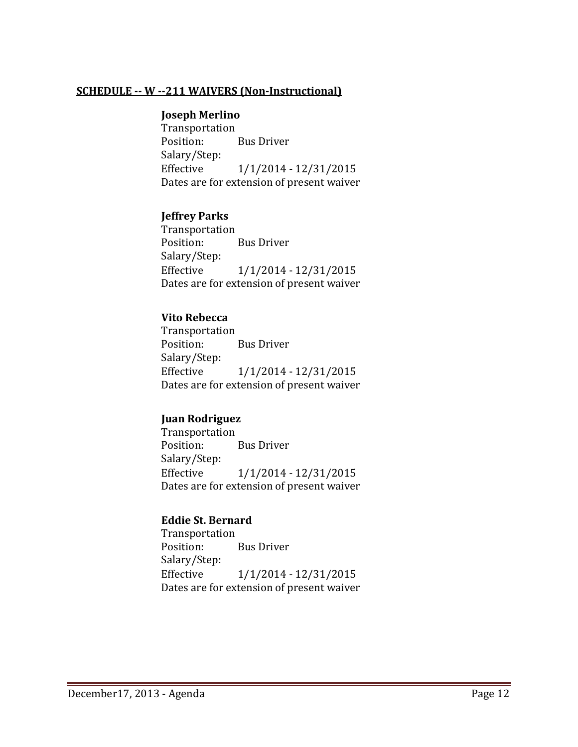#### **SCHEDULE -- W --211 WAIVERS (Non-Instructional)**

#### **Joseph Merlino**

Transportation<br>Position: **Bus Driver** Salary/Step: Effective 1/1/2014 - 12/31/2015 Dates are for extension of present waiver

#### **Jeffrey Parks**

Transportation<br>Position: **Bus Driver** Salary/Step: Effective 1/1/2014 - 12/31/2015 Dates are for extension of present waiver

#### **Vito Rebecca**

Transportation **Bus Driver** Salary/Step: Effective 1/1/2014 - 12/31/2015 Dates are for extension of present waiver

#### **Juan Rodriguez**

Transportation<br>Position: **Bus Driver** Salary/Step:<br>Effective Effective 1/1/2014 - 12/31/2015 Dates are for extension of present waiver

#### **Eddie St. Bernard**

Transportation<br>Position: **Bus Driver** Salary/Step: Effective 1/1/2014 - 12/31/2015 Dates are for extension of present waiver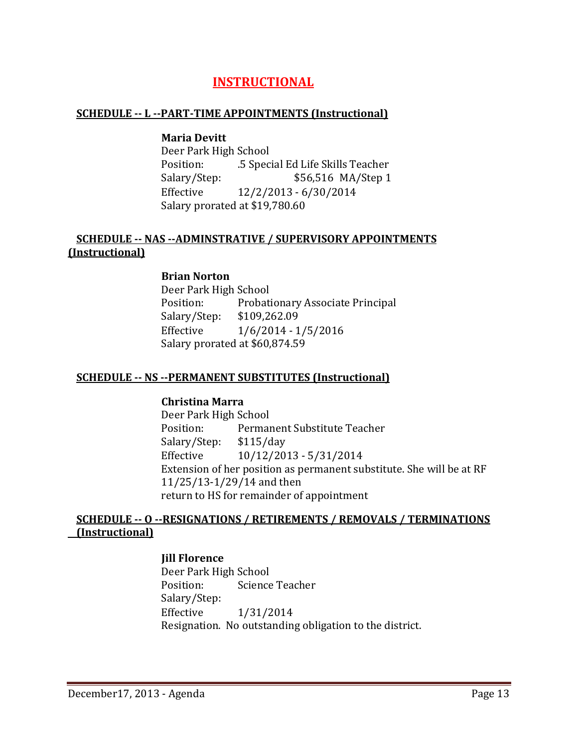# **INSTRUCTIONAL**

#### **SCHEDULE -- L --PART-TIME APPOINTMENTS (Instructional)**

#### **Maria Devitt**

Deer Park High School<br>Position: 5 Spec Position: .5 Special Ed Life Skills Teacher<br>S56,516 MA/Step 1 \$56,516 MA Salary/Step: \$56,516 MA/Step 1<br>Effective 12/2/2013 - 6/30/2014 Effective 12/2/2013 - 6/30/2014 Salary prorated at \$19,780.60

#### **SCHEDULE -- NAS --ADMINSTRATIVE / SUPERVISORY APPOINTMENTS (Instructional)**

#### **Brian Norton**

Deer Park High School Probationary Associate Principal<br>\$109,262.09 Salary/Step:<br>Effective  $1/6/2014 - 1/5/2016$ Salary prorated at \$60,874.59

#### **SCHEDULE -- NS --PERMANENT SUBSTITUTES (Instructional)**

#### **Christina Marra**

Deer Park High School<br>Position: Permai Permanent Substitute Teacher<br>\$115/day Salary/Step: Effective 10/12/2013 - 5/31/2014 Extension of her position as permanent substitute. She will be at RF 11/25/13-1/29/14 and then return to HS for remainder of appointment

#### **SCHEDULE -- O --RESIGNATIONS / RETIREMENTS / REMOVALS / TERMINATIONS (Instructional)**

#### **Jill Florence**

Deer Park High School<br>Position: Science Science Teacher Salary/Step:<br>Effective Effective 1/31/2014 Resignation. No outstanding obligation to the district.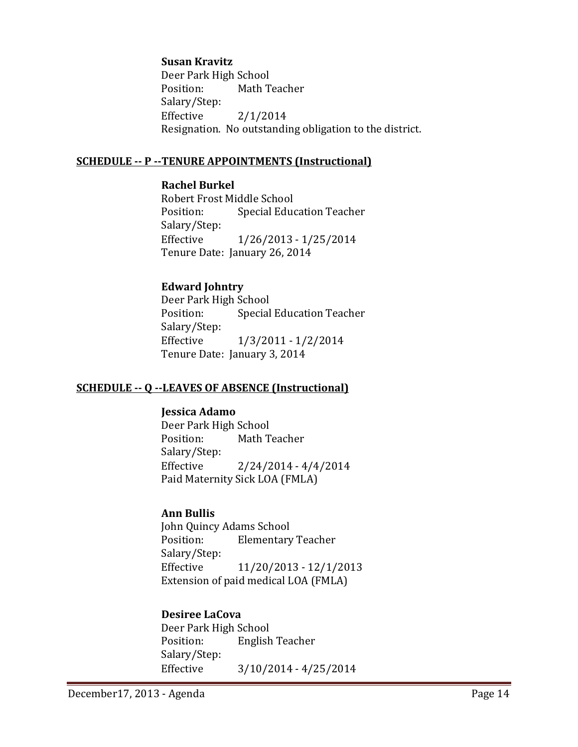#### **Susan Kravitz**

Deer Park High School<br>Position: Math T Math Teacher Salary/Step:<br>Effective  $2/1/2014$ Resignation. No outstanding obligation to the district.

#### **SCHEDULE -- P --TENURE APPOINTMENTS (Instructional)**

#### **Rachel Burkel**

Robert Frost Middle School<br>Position: Special Educ **Special Education Teacher** Salary/Step:<br>Effective Effective 1/26/2013 - 1/25/2014 Tenure Date: January 26, 2014

#### **Edward Johntry**

Deer Park High School<br>Position: Special **Special Education Teacher** Salary/Step: Effective 1/3/2011 - 1/2/2014 Tenure Date: January 3, 2014

#### **SCHEDULE -- Q --LEAVES OF ABSENCE (Instructional)**

#### **Jessica Adamo**

Deer Park High School<br>Position: Math T Math Teacher Salary/Step:  $2/24/2014 - 4/4/2014$ Paid Maternity Sick LOA (FMLA)

#### **Ann Bullis**

John Quincy Adams School<br>Position: Elementary **Elementary Teacher** Salary/Step:<br>Effective Effective 11/20/2013 - 12/1/2013 Extension of paid medical LOA (FMLA)

#### **Desiree LaCova**

Deer Park High School<br>Position: English English Teacher Salary/Step:<br>Effective  $3/10/2014 - 4/25/2014$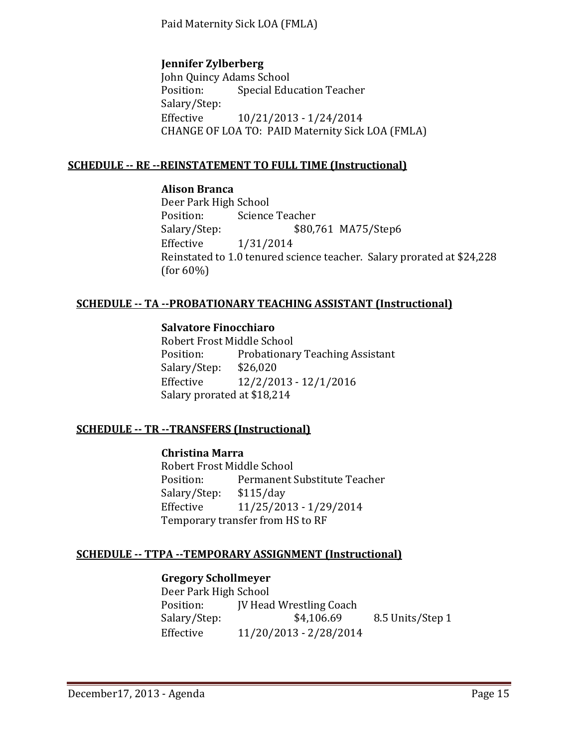Paid Maternity Sick LOA (FMLA)

#### **Jennifer Zylberberg**

John Quincy Adams School<br>Position: Special Edu Special Education Teacher Salary/Step: Effective 10/21/2013 - 1/24/2014 CHANGE OF LOA TO: PAID Maternity Sick LOA (FMLA)

#### **SCHEDULE -- RE --REINSTATEMENT TO FULL TIME (Instructional)**

#### **Alison Branca**

Deer Park High School<br>Position: Science Position: Science Teacher<br>Salary/Step: \$80,7 \$80,761 MA75/Step6 Effective 1/31/2014 Reinstated to 1.0 tenured science teacher. Salary prorated at \$24,228 (for 60%)

#### **SCHEDULE -- TA --PROBATIONARY TEACHING ASSISTANT (Instructional)**

# **Salvatore Finocchiaro**

Robert Frost Middle School Probationary Teaching Assistant<br>\$26,020 Salary/Step: Effective 12/2/2013 - 12/1/2016 Salary prorated at \$18,214

#### **SCHEDULE -- TR --TRANSFERS (Instructional)**

#### **Christina Marra**

Robert Frost Middle School<br>Position: Permanent! Permanent Substitute Teacher<br>\$115/day Salary/Step:<br>Effective Effective 11/25/2013 - 1/29/2014 Temporary transfer from HS to RF

#### **SCHEDULE -- TTPA --TEMPORARY ASSIGNMENT (Instructional)**

#### **Gregory Schollmeyer**

Deer Park High School<br>Position: [V Head Position: JV Head Wrestling Coach<br>Salary/Step: \$4,106.69 Salary/Step: \$4,106.69 8.5 Units/Step 1<br>Effective 11/20/2013 - 2/28/2014 Effective 11/20/2013 - 2/28/2014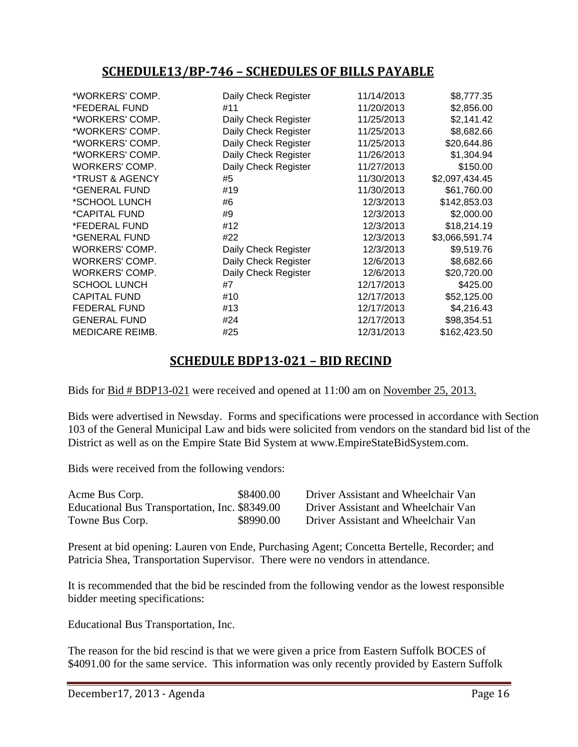# **SCHEDULE13/BP-746 – SCHEDULES OF BILLS PAYABLE**

| #11<br>Daily Check Register<br>Daily Check Register<br>Daily Check Register<br>Daily Check Register | 11/20/2013<br>11/25/2013<br>11/25/2013<br>11/25/2013 | \$2,856.00<br>\$2,141.42<br>\$8,682.66<br>\$20,644.86 |
|-----------------------------------------------------------------------------------------------------|------------------------------------------------------|-------------------------------------------------------|
|                                                                                                     |                                                      |                                                       |
|                                                                                                     |                                                      |                                                       |
|                                                                                                     |                                                      |                                                       |
|                                                                                                     |                                                      |                                                       |
|                                                                                                     |                                                      | \$1,304.94                                            |
| Daily Check Register                                                                                | 11/27/2013                                           | \$150.00                                              |
| #5                                                                                                  | 11/30/2013                                           | \$2,097,434.45                                        |
| #19                                                                                                 | 11/30/2013                                           | \$61,760.00                                           |
| #6                                                                                                  | 12/3/2013                                            | \$142,853.03                                          |
| #9                                                                                                  | 12/3/2013                                            | \$2,000.00                                            |
| #12                                                                                                 | 12/3/2013                                            | \$18,214.19                                           |
| #22                                                                                                 | 12/3/2013                                            | \$3,066,591.74                                        |
| Daily Check Register                                                                                | 12/3/2013                                            | \$9,519.76                                            |
| Daily Check Register                                                                                | 12/6/2013                                            | \$8,682.66                                            |
| Daily Check Register                                                                                | 12/6/2013                                            | \$20,720.00                                           |
| #7                                                                                                  | 12/17/2013                                           | \$425.00                                              |
| #10                                                                                                 | 12/17/2013                                           | \$52,125.00                                           |
| #13                                                                                                 | 12/17/2013                                           | \$4,216.43                                            |
| #24                                                                                                 | 12/17/2013                                           | \$98,354.51                                           |
| #25                                                                                                 | 12/31/2013                                           | \$162,423.50                                          |
|                                                                                                     |                                                      | 11/26/2013                                            |

# **SCHEDULE BDP13-021 – BID RECIND**

Bids for Bid # BDP13-021 were received and opened at 11:00 am on November 25, 2013.

Bids were advertised in Newsday. Forms and specifications were processed in accordance with Section 103 of the General Municipal Law and bids were solicited from vendors on the standard bid list of the District as well as on the Empire State Bid System at [www.EmpireStateBidSystem.com.](http://www.empirestatebidsystem.com/)

Bids were received from the following vendors:

| Acme Bus Corp.                                 | \$8400.00 |
|------------------------------------------------|-----------|
| Educational Bus Transportation, Inc. \$8349.00 |           |
| Towne Bus Corp.                                | \$8990.00 |

Driver Assistant and Wheelchair Van Driver Assistant and Wheelchair Van Driver Assistant and Wheelchair Van

Present at bid opening: Lauren von Ende, Purchasing Agent; Concetta Bertelle, Recorder; and Patricia Shea, Transportation Supervisor. There were no vendors in attendance.

It is recommended that the bid be rescinded from the following vendor as the lowest responsible bidder meeting specifications:

Educational Bus Transportation, Inc.

The reason for the bid rescind is that we were given a price from Eastern Suffolk BOCES of \$4091.00 for the same service. This information was only recently provided by Eastern Suffolk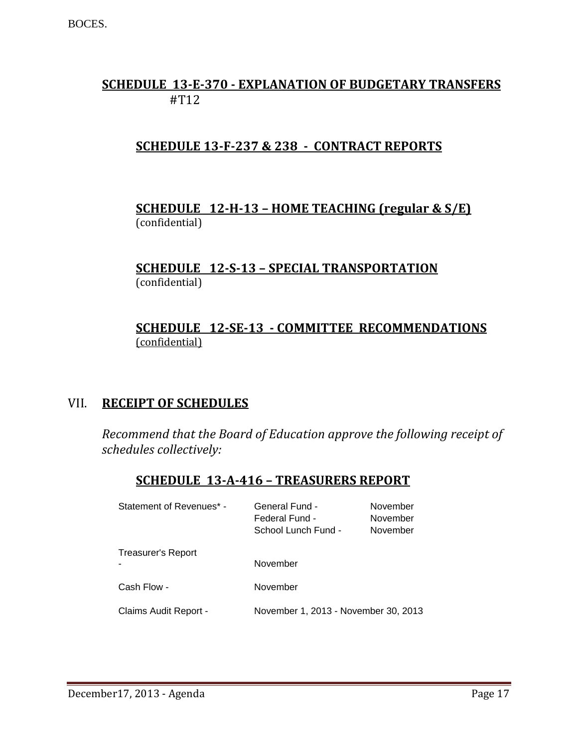# **SCHEDULE 13-E-370 - EXPLANATION OF BUDGETARY TRANSFERS** #T12

# **SCHEDULE 13-F-237 & 238 - CONTRACT REPORTS**

# **SCHEDULE 12-H-13 – HOME TEACHING (regular & S/E)**  (confidential)

#### **SCHEDULE 12-S-13 – SPECIAL TRANSPORTATION**  (confidential)

# **SCHEDULE 12-SE-13 - COMMITTEE RECOMMENDATIONS** (confidential)

# VII. **RECEIPT OF SCHEDULES**

*Recommend that the Board of Education approve the following receipt of schedules collectively:*

# **SCHEDULE 13-A-416 – TREASURERS REPORT**

| Statement of Revenues* - | General Fund -<br>Federal Fund -<br>School Lunch Fund - | November<br>November<br>November |
|--------------------------|---------------------------------------------------------|----------------------------------|
| Treasurer's Report       | November                                                |                                  |
| Cash Flow -              | November                                                |                                  |
| Claims Audit Report -    | November 1, 2013 - November 30, 2013                    |                                  |